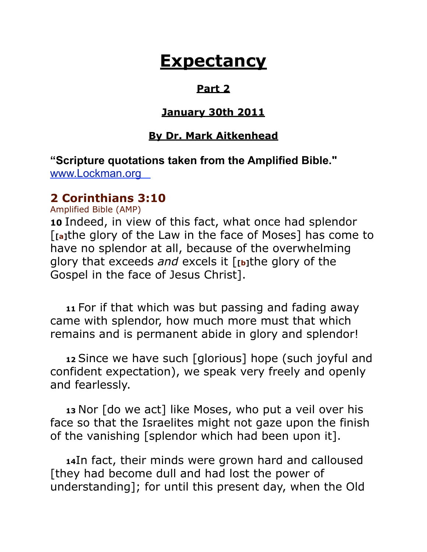# **Expectancy**

#### **Part 2**

#### **January 30th 2011**

#### **By Dr. Mark Aitkenhead**

**"Scripture quotations taken from the Amplified Bible."**  [www.Lockman.org](http://www.lockman.org/tlf/pqform.php) 

#### **2 Corinthians 3:10**

Amplified Bible (AMP)

**10** Indeed, in view of this fact, what once had splendor [**[a]**the glory of the Law in the face of Moses] has come to have no splendor at all, because of the overwhelming glory that exceeds *and* excels it [**[b]**the glory of the Gospel in the face of Jesus Christ].

 **<sup>11</sup>**For if that which was but passing and fading away came with splendor, how much more must that which remains and is permanent abide in glory and splendor!

 **<sup>12</sup>**Since we have such [glorious] hope (such joyful and confident expectation), we speak very freely and openly and fearlessly.

 **<sup>13</sup>**Nor [do we act] like Moses, who put a veil over his face so that the Israelites might not gaze upon the finish of the vanishing [splendor which had been upon it].

 **<sup>14</sup>**In fact, their minds were grown hard and calloused [they had become dull and had lost the power of understanding]; for until this present day, when the Old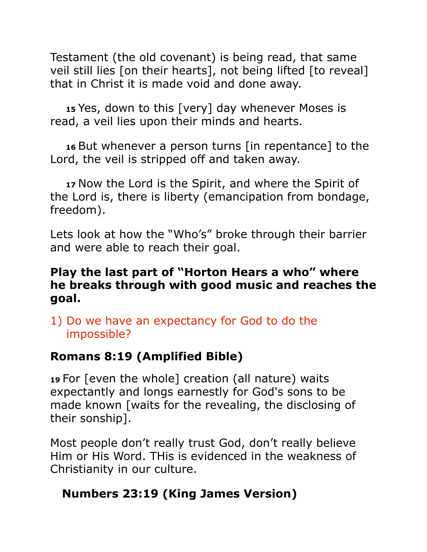Testament (the old covenant) is being read, that same veil still lies [on their hearts], not being lifted [to reveal] that in Christ it is made void and done away.

 **<sup>15</sup>**Yes, down to this [very] day whenever Moses is read, a veil lies upon their minds and hearts.

 **<sup>16</sup>**But whenever a person turns [in repentance] to the Lord, the veil is stripped off and taken away.

 **<sup>17</sup>**Now the Lord is the Spirit, and where the Spirit of the Lord is, there is liberty (emancipation from bondage, freedom).

Lets look at how the "Who's" broke through their barrier and were able to reach their goal.

#### **Play the last part of "Horton Hears a who" where he breaks through with good music and reaches the goal.**

#### 1) Do we have an expectancy for God to do the impossible?

### **Romans 8:19 (Amplified Bible)**

**<sup>19</sup>**For [even the whole] creation (all nature) waits expectantly and longs earnestly for God's sons to be made known [waits for the revealing, the disclosing of their sonship].

Most people don't really trust God, don't really believe Him or His Word. THis is evidenced in the weakness of Christianity in our culture.

### **Numbers 23:19 (King James Version)**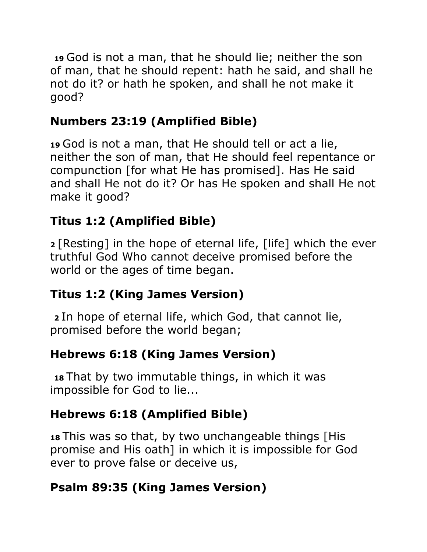**<sup>19</sup>**God is not a man, that he should lie; neither the son of man, that he should repent: hath he said, and shall he not do it? or hath he spoken, and shall he not make it good?

# **Numbers 23:19 (Amplified Bible)**

**<sup>19</sup>**God is not a man, that He should tell or act a lie, neither the son of man, that He should feel repentance or compunction [for what He has promised]. Has He said and shall He not do it? Or has He spoken and shall He not make it good?

# **Titus 1:2 (Amplified Bible)**

**<sup>2</sup>**[Resting] in the hope of eternal life, [life] which the ever truthful God Who cannot deceive promised before the world or the ages of time began.

### **Titus 1:2 (King James Version)**

**<sup>2</sup>**In hope of eternal life, which God, that cannot lie, promised before the world began;

# **Hebrews 6:18 (King James Version)**

**<sup>18</sup>**That by two immutable things, in which it was impossible for God to lie...

# **Hebrews 6:18 (Amplified Bible)**

**<sup>18</sup>**This was so that, by two unchangeable things [His promise and His oath] in which it is impossible for God ever to prove false or deceive us,

# **Psalm 89:35 (King James Version)**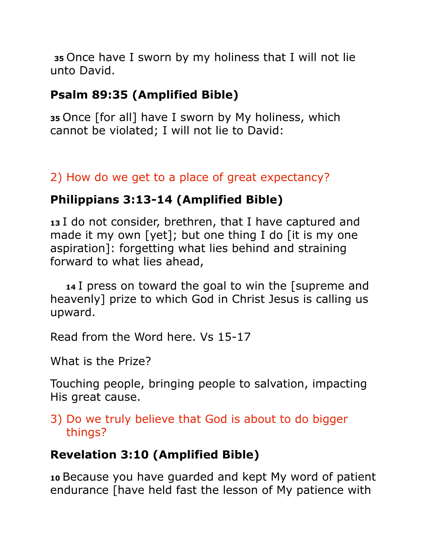**<sup>35</sup>**Once have I sworn by my holiness that I will not lie unto David.

# **Psalm 89:35 (Amplified Bible)**

**<sup>35</sup>**Once [for all] have I sworn by My holiness, which cannot be violated; I will not lie to David:

# 2) How do we get to a place of great expectancy?

# **Philippians 3:13-14 (Amplified Bible)**

**<sup>13</sup>**I do not consider, brethren, that I have captured and made it my own [yet]; but one thing I do [it is my one aspiration]: forgetting what lies behind and straining forward to what lies ahead,

 **<sup>14</sup>**I press on toward the goal to win the [supreme and heavenly] prize to which God in Christ Jesus is calling us upward.

Read from the Word here. Vs 15-17

What is the Prize?

Touching people, bringing people to salvation, impacting His great cause.

3) Do we truly believe that God is about to do bigger things?

# **Revelation 3:10 (Amplified Bible)**

**<sup>10</sup>**Because you have guarded and kept My word of patient endurance [have held fast the lesson of My patience with